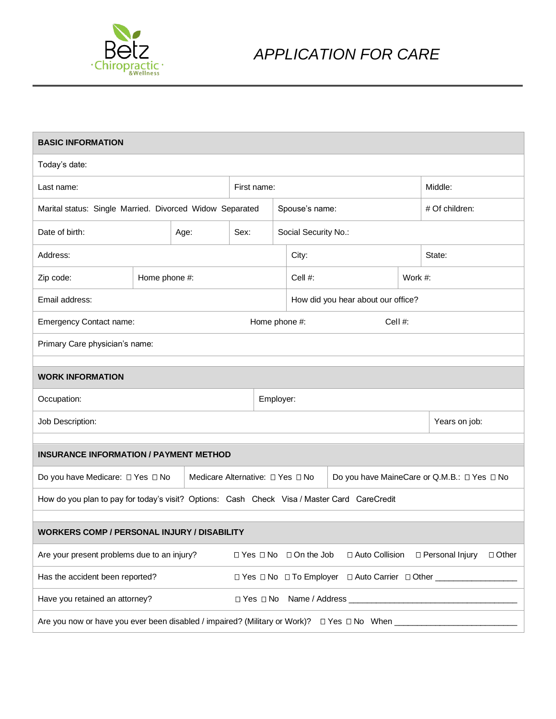

| <b>BASIC INFORMATION</b>                                                                               |               |      |                                  |           |                         |                                                                                  |         |                   |              |
|--------------------------------------------------------------------------------------------------------|---------------|------|----------------------------------|-----------|-------------------------|----------------------------------------------------------------------------------|---------|-------------------|--------------|
| Today's date:                                                                                          |               |      |                                  |           |                         |                                                                                  |         |                   |              |
| Last name:                                                                                             |               |      | First name:                      |           |                         |                                                                                  |         | Middle:           |              |
| Marital status: Single Married. Divorced Widow Separated                                               |               |      |                                  |           | Spouse's name:          |                                                                                  |         | # Of children:    |              |
| Date of birth:                                                                                         |               | Age: | Sex:                             |           | Social Security No.:    |                                                                                  |         |                   |              |
| Address:                                                                                               |               |      |                                  |           | City:                   |                                                                                  |         | State:            |              |
| Zip code:                                                                                              | Home phone #: |      |                                  |           | Cell #:                 |                                                                                  | Work #: |                   |              |
| Email address:                                                                                         |               |      |                                  |           |                         | How did you hear about our office?                                               |         |                   |              |
| Emergency Contact name:                                                                                |               |      | Home phone #:                    |           |                         | Cell #:                                                                          |         |                   |              |
| Primary Care physician's name:                                                                         |               |      |                                  |           |                         |                                                                                  |         |                   |              |
|                                                                                                        |               |      |                                  |           |                         |                                                                                  |         |                   |              |
| <b>WORK INFORMATION</b>                                                                                |               |      |                                  |           |                         |                                                                                  |         |                   |              |
| Occupation:                                                                                            |               |      |                                  | Employer: |                         |                                                                                  |         |                   |              |
| Job Description:                                                                                       |               |      |                                  |           |                         |                                                                                  |         | Years on job:     |              |
|                                                                                                        |               |      |                                  |           |                         |                                                                                  |         |                   |              |
| <b>INSURANCE INFORMATION / PAYMENT METHOD</b>                                                          |               |      |                                  |           |                         |                                                                                  |         |                   |              |
| Do you have Medicare: □ Yes □ No                                                                       |               |      | Medicare Alternative: □ Yes □ No |           |                         | Do you have MaineCare or Q.M.B.: □ Yes □ No                                      |         |                   |              |
| How do you plan to pay for today's visit? Options: Cash Check Visa / Master Card CareCredit            |               |      |                                  |           |                         |                                                                                  |         |                   |              |
|                                                                                                        |               |      |                                  |           |                         |                                                                                  |         |                   |              |
| <b>WORKERS COMP / PERSONAL INJURY / DISABILITY</b>                                                     |               |      |                                  |           |                         |                                                                                  |         |                   |              |
| Are your present problems due to an injury?                                                            |               |      |                                  |           | □ Yes □ No □ On the Job | □ Auto Collision                                                                 |         | □ Personal Injury | $\Box$ Other |
| Has the accident been reported?                                                                        |               |      |                                  |           |                         | □ Yes □ No □ To Employer □ Auto Carrier □ Other ________________________________ |         |                   |              |
| Have you retained an attorney?                                                                         |               |      | □ Yes □ No                       |           |                         |                                                                                  |         |                   |              |
| Are you now or have you ever been disabled / impaired? (Military or Work)? $\Box$ Yes $\Box$ No When _ |               |      |                                  |           |                         |                                                                                  |         |                   |              |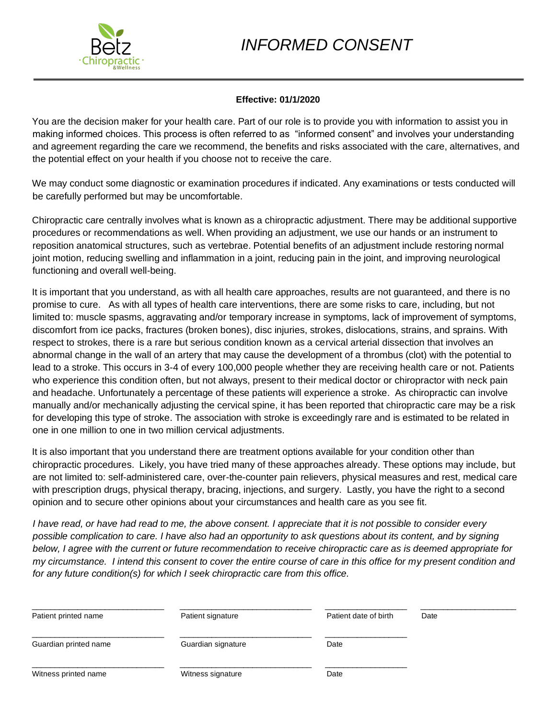# *INFORMED CONSENT*



# **Effective: 01/1/2020**

You are the decision maker for your health care. Part of our role is to provide you with information to assist you in making informed choices. This process is often referred to as "informed consent" and involves your understanding and agreement regarding the care we recommend, the benefits and risks associated with the care, alternatives, and the potential effect on your health if you choose not to receive the care.

We may conduct some diagnostic or examination procedures if indicated. Any examinations or tests conducted will be carefully performed but may be uncomfortable.

Chiropractic care centrally involves what is known as a chiropractic adjustment. There may be additional supportive procedures or recommendations as well. When providing an adjustment, we use our hands or an instrument to reposition anatomical structures, such as vertebrae. Potential benefits of an adjustment include restoring normal joint motion, reducing swelling and inflammation in a joint, reducing pain in the joint, and improving neurological functioning and overall well-being.

It is important that you understand, as with all health care approaches, results are not guaranteed, and there is no promise to cure. As with all types of health care interventions, there are some risks to care, including, but not limited to: muscle spasms, aggravating and/or temporary increase in symptoms, lack of improvement of symptoms, discomfort from ice packs, fractures (broken bones), disc injuries, strokes, dislocations, strains, and sprains. With respect to strokes, there is a rare but serious condition known as a cervical arterial dissection that involves an abnormal change in the wall of an artery that may cause the development of a thrombus (clot) with the potential to lead to a stroke. This occurs in 3-4 of every 100,000 people whether they are receiving health care or not. Patients who experience this condition often, but not always, present to their medical doctor or chiropractor with neck pain and headache. Unfortunately a percentage of these patients will experience a stroke. As chiropractic can involve manually and/or mechanically adjusting the cervical spine, it has been reported that chiropractic care may be a risk for developing this type of stroke. The association with stroke is exceedingly rare and is estimated to be related in one in one million to one in two million cervical adjustments.

It is also important that you understand there are treatment options available for your condition other than chiropractic procedures. Likely, you have tried many of these approaches already. These options may include, but are not limited to: self-administered care, over-the-counter pain relievers, physical measures and rest, medical care with prescription drugs, physical therapy, bracing, injections, and surgery. Lastly, you have the right to a second opinion and to secure other opinions about your circumstances and health care as you see fit.

*I have read, or have had read to me, the above consent. I appreciate that it is not possible to consider every possible complication to care. I have also had an opportunity to ask questions about its content, and by signing below, I agree with the current or future recommendation to receive chiropractic care as is deemed appropriate for my circumstance. I intend this consent to cover the entire course of care in this office for my present condition and for any future condition(s) for which I seek chiropractic care from this office.* 

| Patient printed name  | Patient signature  | Patient date of birth | Date |
|-----------------------|--------------------|-----------------------|------|
| Guardian printed name | Guardian signature | Date                  |      |
| Witness printed name  | Witness signature  | Date                  |      |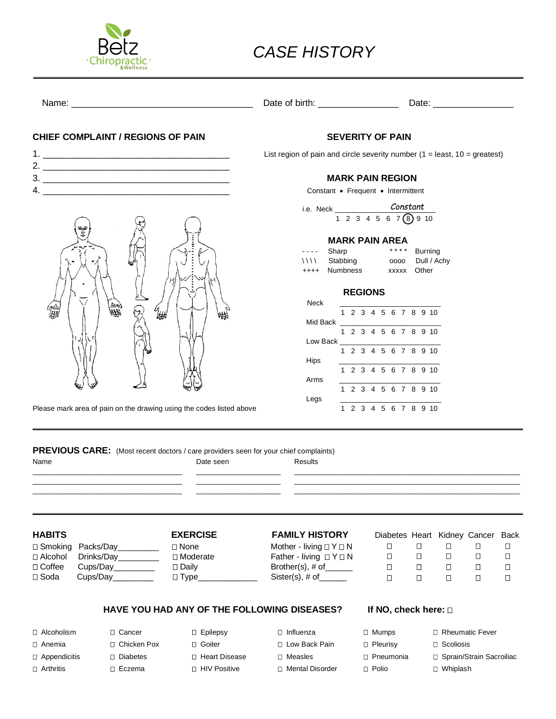

# *CASE HISTORY*

Name: \_\_\_\_\_\_\_\_\_\_\_\_\_\_\_\_\_\_\_\_\_\_\_\_\_\_\_\_\_\_\_\_\_\_\_\_ Date of birth: \_\_\_\_\_\_\_\_\_\_\_\_\_\_\_\_ Date: \_\_\_\_\_\_\_\_\_\_\_\_\_\_\_\_

### **CHIEF COMPLAINT / REGIONS OF PAIN SEVERITY OF PAIN**

- $2.$
- 3. \_\_\_\_\_\_\_\_\_\_\_\_\_\_\_\_\_\_\_\_\_\_\_\_\_\_\_\_\_\_\_\_\_\_\_\_\_ **MARK PAIN REGION**
- 

復進 6<br>666

Please mark area of pain on the drawing using the codes listed above

1. \_\_\_\_\_\_\_\_\_\_\_\_\_\_\_\_\_\_\_\_\_\_\_\_\_\_\_\_\_\_\_\_\_\_\_\_\_ List region of pain and circle severity number (1 = least, 10 = greatest)

4. \_\_\_\_\_\_\_\_\_\_\_\_\_\_\_\_\_\_\_\_\_\_\_\_\_\_\_\_\_\_\_\_\_\_\_\_\_ Constant • Frequent • Intermittent

i.e. Neck  $1 2 3 4 5 6 7$  (8) 9 10 *Constant*

### **MARK PAIN AREA**

| $--$ Sharp    |             | **** Burning     |
|---------------|-------------|------------------|
| \\\\ Stabbing |             | 0000 Dull / Achy |
| ++++ Numbness | xxxxx Other |                  |

### **REGIONS**

| <b>Neck</b> |   |  |                      |  |  |  |
|-------------|---|--|----------------------|--|--|--|
|             |   |  | 1 2 3 4 5 6 7 8 9 10 |  |  |  |
| Mid Back    |   |  |                      |  |  |  |
|             |   |  | 1 2 3 4 5 6 7 8 9 10 |  |  |  |
| Low Back    |   |  |                      |  |  |  |
|             |   |  | 2 3 4 5 6 7 8 9 10   |  |  |  |
| Hips        |   |  |                      |  |  |  |
|             |   |  | 1 2 3 4 5 6 7 8 9 10 |  |  |  |
| Arms        |   |  |                      |  |  |  |
|             |   |  | 1 2 3 4 5 6 7 8 9 10 |  |  |  |
| Legs        |   |  |                      |  |  |  |
|             | 1 |  | 2 3 4 5 6 7 8 9 10   |  |  |  |
|             |   |  |                      |  |  |  |

**PREVIOUS CARE:** (Most recent doctors / care providers seen for your chief complaints)

| . .<br>×<br>×<br>I |
|--------------------|
|--------------------|

Date seen Results

\_\_\_\_\_\_\_\_\_\_\_\_\_\_\_\_\_\_\_\_\_\_\_\_\_\_\_\_\_\_\_\_\_\_\_\_\_ \_\_\_\_\_\_\_\_\_\_\_\_\_\_\_\_\_\_\_\_\_ \_\_\_\_\_\_\_\_\_\_\_\_\_\_\_\_\_\_\_\_\_\_\_\_\_\_\_\_\_\_\_\_\_\_\_\_\_\_\_\_\_\_\_\_\_\_\_\_\_\_\_\_\_\_\_\_ \_\_\_\_\_\_\_\_\_\_\_\_\_\_\_\_\_\_\_\_\_\_\_\_\_\_\_\_\_\_\_\_\_\_\_\_\_ \_\_\_\_\_\_\_\_\_\_\_\_\_\_\_\_\_\_\_\_\_ \_\_\_\_\_\_\_\_\_\_\_\_\_\_\_\_\_\_\_\_\_\_\_\_\_\_\_\_\_\_\_\_\_\_\_\_\_\_\_\_\_\_\_\_\_\_\_\_\_\_\_\_\_\_\_\_ \_\_\_\_\_\_\_\_\_\_\_\_\_\_\_\_\_\_\_\_\_\_\_\_\_\_\_\_\_\_\_\_\_\_\_\_\_ \_\_\_\_\_\_\_\_\_\_\_\_\_\_\_\_\_\_\_\_\_ \_\_\_\_\_\_\_\_\_\_\_\_\_\_\_\_\_\_\_\_\_\_\_\_\_\_\_\_\_\_\_\_\_\_\_\_\_\_\_\_\_\_\_\_\_\_\_\_\_\_\_\_\_\_\_\_

 $\square$  Smoking Packs/Day\_\_\_\_\_\_\_\_  $\square$  None Mother - living  $\square$  Y  $\square$  N Alcohol Drinks/Day\_\_\_\_\_\_\_\_\_ Moderate Father - living Y N  $\Box$  Soda Cups/Day\_\_\_\_\_\_\_\_\_  $\Box$  Type\_\_\_\_\_\_\_\_\_\_\_\_\_\_\_ Sister(s), # of\_\_\_\_\_

# **HABITS EXERCISE FAMILY HISTORY** Diabetes Heart Kidney Cancer Back

Coffee Cups/Day\_\_\_\_\_\_\_\_\_ Daily Brother(s), # of\_\_\_\_\_\_

|   |   |    | iabetes Heart Kidney Cancer Back |   |
|---|---|----|----------------------------------|---|
|   |   |    |                                  |   |
| П |   | '' |                                  |   |
| П | П | П  | П                                | П |
|   |   |    |                                  |   |
|   |   |    |                                  |   |

# HAVE YOU HAD ANY OF THE FOLLOWING DISEASES? If NO, check here:  $\square$

- 
- 
- 
- 
- 
- 

 Alcoholism Cancer Epilepsy Influenza Mumps Rheumatic Fever Anemia Chicken Pox Goiter Low Back Pain Pleurisy Scoliosis Appendicitis Diabetes Heart Disease Measles Pneumonia Sprain/Strain Sacroiliac Arthritis Eczema HIV Positive Mental Disorder Polio Whiplash

| . . | .                |  |
|-----|------------------|--|
|     | <b>Scoliosis</b> |  |

- 
- 
-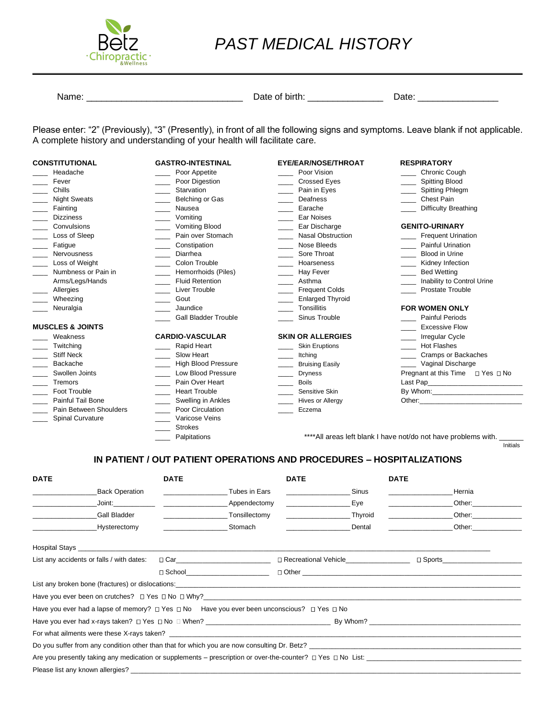

# *PAST MEDICAL HISTORY*

Name: \_\_\_\_\_\_\_\_\_\_\_\_\_\_\_\_\_\_\_\_\_\_\_\_\_\_\_\_\_\_\_ Date of birth: \_\_\_\_\_\_\_\_\_\_\_\_\_\_\_ Date: \_\_\_\_\_\_\_\_\_\_\_\_\_\_\_\_

Please enter: "2" (Previously), "3" (Presently), in front of all the following signs and symptoms. Leave blank if not applicable. A complete history and understanding of your health will facilitate care.

| <b>CONSTITUTIONAL</b>       | <b>GASTRO-INTESTINAL</b>                         | EYE/EAR/NOSE/THROAT      | <b>RESPIRATORY</b>                                                                                                                                                                                                             |
|-----------------------------|--------------------------------------------------|--------------------------|--------------------------------------------------------------------------------------------------------------------------------------------------------------------------------------------------------------------------------|
| Headache                    | Poor Appetite                                    | Poor Vision              | Chronic Cough                                                                                                                                                                                                                  |
| Fever                       | Poor Digestion                                   | <b>Crossed Eyes</b>      | <b>Spitting Blood</b>                                                                                                                                                                                                          |
| Chills                      | Starvation<br>$\overline{\phantom{a}}$           | Pain in Eyes             | Spitting Phlegm                                                                                                                                                                                                                |
| <b>Night Sweats</b>         | Belching or Gas                                  | Deafness                 | Chest Pain                                                                                                                                                                                                                     |
| Fainting                    | Nausea                                           | Earache                  | <b>Difficulty Breathing</b>                                                                                                                                                                                                    |
| <b>Dizziness</b>            | Vomiting                                         | Ear Noises               |                                                                                                                                                                                                                                |
| Convulsions                 | <b>Vomiting Blood</b>                            | Ear Discharge            | <b>GENITO-URINARY</b>                                                                                                                                                                                                          |
| Loss of Sleep               | Pain over Stomach                                | <b>Nasal Obstruction</b> | <b>Frequent Urination</b>                                                                                                                                                                                                      |
| Fatigue                     | Constipation                                     | Nose Bleeds              | <b>Painful Urination</b>                                                                                                                                                                                                       |
| <b>Nervousness</b>          | Diarrhea                                         | Sore Throat              | <b>Blood in Urine</b>                                                                                                                                                                                                          |
| Loss of Weight              | Colon Trouble                                    | Hoarseness               | Kidney Infection                                                                                                                                                                                                               |
| Numbness or Pain in         | Hemorrhoids (Piles)<br>$\overline{\phantom{0}}$  | Hay Fever                | <b>Bed Wetting</b>                                                                                                                                                                                                             |
| Arms/Legs/Hands             | <b>Fluid Retention</b>                           | Asthma                   | Inability to Control Urine                                                                                                                                                                                                     |
| Allergies                   | Liver Trouble                                    | <b>Frequent Colds</b>    | <b>Prostate Trouble</b>                                                                                                                                                                                                        |
| Wheezing                    | ____ Gout                                        | <b>Enlarged Thyroid</b>  |                                                                                                                                                                                                                                |
| Neuralgia                   | Jaundice                                         | Tonsillitis              | <b>FOR WOMEN ONLY</b>                                                                                                                                                                                                          |
|                             | <b>Gall Bladder Trouble</b>                      | Sinus Trouble            | <b>Painful Periods</b>                                                                                                                                                                                                         |
| <b>MUSCLES &amp; JOINTS</b> |                                                  |                          | <b>Excessive Flow</b>                                                                                                                                                                                                          |
| Weakness                    | <b>CARDIO-VASCULAR</b>                           | <b>SKIN OR ALLERGIES</b> | <b>Irregular Cycle</b>                                                                                                                                                                                                         |
| Twitching                   | Rapid Heart                                      | <b>Skin Eruptions</b>    | <b>Hot Flashes</b>                                                                                                                                                                                                             |
| <b>Stiff Neck</b>           | Slow Heart                                       | Itching                  | Cramps or Backaches                                                                                                                                                                                                            |
| Backache                    | <b>High Blood Pressure</b><br>$\sim$             | <b>Bruising Easily</b>   | Vaginal Discharge                                                                                                                                                                                                              |
| Swollen Joints              | Low Blood Pressure                               | <b>Dryness</b>           | Pregnant at this Time □ Yes □ No                                                                                                                                                                                               |
| Tremors                     | Pain Over Heart                                  | <b>Boils</b>             |                                                                                                                                                                                                                                |
| Foot Trouble                | <b>Heart Trouble</b><br>$\overline{\phantom{0}}$ | Sensitive Skin           |                                                                                                                                                                                                                                |
| <b>Painful Tail Bone</b>    | Swelling in Ankles<br>$\sim$ 100 $\mu$           | Hives or Allergy         | Other: the contract of the contract of the contract of the contract of the contract of the contract of the contract of the contract of the contract of the contract of the contract of the contract of the contract of the con |
| Pain Between Shoulders      | Poor Circulation                                 | Eczema                   |                                                                                                                                                                                                                                |
| Spinal Curvature            | Varicose Veins                                   |                          |                                                                                                                                                                                                                                |
|                             | <b>Strokes</b>                                   |                          |                                                                                                                                                                                                                                |

\_\_\_\_ Palpitations \*\*\*\*All areas left blank I have not/do not have problems with. \_\_\_\_\_\_

Initials

# **IN PATIENT / OUT PATIENT OPERATIONS AND PROCEDURES – HOSPITALIZATIONS**

| <b>DATE</b>                                                                                                                                                                                                                         | <b>DATE</b>                     | <b>DATE</b>                                      | <b>DATE</b>                                                                                                                                                                                                                    |
|-------------------------------------------------------------------------------------------------------------------------------------------------------------------------------------------------------------------------------------|---------------------------------|--------------------------------------------------|--------------------------------------------------------------------------------------------------------------------------------------------------------------------------------------------------------------------------------|
| Back Operation                                                                                                                                                                                                                      | Tubes in Ears                   | Sinus<br><u> 1980 - Jan Barbara Barbara, man</u> | Hernia                                                                                                                                                                                                                         |
|                                                                                                                                                                                                                                     | Joint: Appendectomy             | Eye                                              | Other: and the control of the control of the control of the control of the control of the control of the control of the control of the control of the control of the control of the control of the control of the control of t |
| Gall Bladder                                                                                                                                                                                                                        | Tonsillectomy                   | Thyroid                                          | Other: and the control of the control of the control of the control of the control of the control of the control of the control of the control of the control of the control of the control of the control of the control of t |
| Hysterectomy                                                                                                                                                                                                                        | Stomach                         | Dental                                           | Other: and the control of the control of the control of the control of the control of the control of the control of the control of the control of the control of the control of the control of the control of the control of t |
| Hospital Stays <b>Example 2018</b> 2021 2022 2023 2024 2022 2023 2024 2022 2023 2024 2022 2023 2024 2022 2023 2024 2022 2023 2024 2022 2023 2024 2022 2023 2024 2023 2024 2023 2024 2023 2024 2023 2024 2023 2024 2023 2024 2023 20 |                                 |                                                  |                                                                                                                                                                                                                                |
| List any accidents or falls / with dates:                                                                                                                                                                                           |                                 |                                                  | $\Box$ Sports and $\Box$                                                                                                                                                                                                       |
|                                                                                                                                                                                                                                     | □ School_______________________ |                                                  |                                                                                                                                                                                                                                |
|                                                                                                                                                                                                                                     |                                 |                                                  |                                                                                                                                                                                                                                |
|                                                                                                                                                                                                                                     |                                 |                                                  |                                                                                                                                                                                                                                |
| Have you ever had a lapse of memory? $\Box$ Yes $\Box$ No Have you ever been unconscious? $\Box$ Yes $\Box$ No                                                                                                                      |                                 |                                                  |                                                                                                                                                                                                                                |
|                                                                                                                                                                                                                                     |                                 |                                                  |                                                                                                                                                                                                                                |
| For what ailments were these X-rays taken? The contract of the contract of the contract of the contract of the contract of the contract of the contract of the contract of the contract of the contract of the contract of the      |                                 |                                                  |                                                                                                                                                                                                                                |
| Do you suffer from any condition other than that for which you are now consulting Dr. Betz?                                                                                                                                         |                                 |                                                  |                                                                                                                                                                                                                                |
|                                                                                                                                                                                                                                     |                                 |                                                  | Are you presently taking any medication or supplements – prescription or over-the-counter? $\square$ Yes $\square$ No List:                                                                                                    |
|                                                                                                                                                                                                                                     |                                 |                                                  |                                                                                                                                                                                                                                |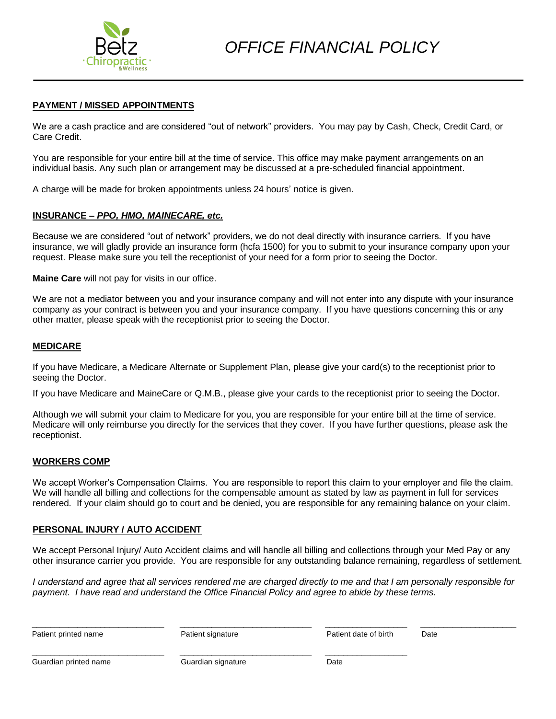

### **PAYMENT / MISSED APPOINTMENTS**

We are a cash practice and are considered "out of network" providers. You may pay by Cash, Check, Credit Card, or Care Credit.

You are responsible for your entire bill at the time of service. This office may make payment arrangements on an individual basis. Any such plan or arrangement may be discussed at a pre-scheduled financial appointment.

A charge will be made for broken appointments unless 24 hours' notice is given.

### **INSURANCE –** *PPO, HMO, MAINECARE, etc.*

Because we are considered "out of network" providers, we do not deal directly with insurance carriers. If you have insurance, we will gladly provide an insurance form (hcfa 1500) for you to submit to your insurance company upon your request. Please make sure you tell the receptionist of your need for a form prior to seeing the Doctor.

**Maine Care** will not pay for visits in our office.

We are not a mediator between you and your insurance company and will not enter into any dispute with your insurance company as your contract is between you and your insurance company. If you have questions concerning this or any other matter, please speak with the receptionist prior to seeing the Doctor.

### **MEDICARE**

If you have Medicare, a Medicare Alternate or Supplement Plan, please give your card(s) to the receptionist prior to seeing the Doctor.

If you have Medicare and MaineCare or Q.M.B., please give your cards to the receptionist prior to seeing the Doctor.

Although we will submit your claim to Medicare for you, you are responsible for your entire bill at the time of service. Medicare will only reimburse you directly for the services that they cover. If you have further questions, please ask the receptionist.

### **WORKERS COMP**

We accept Worker's Compensation Claims. You are responsible to report this claim to your employer and file the claim. We will handle all billing and collections for the compensable amount as stated by law as payment in full for services rendered. If your claim should go to court and be denied, you are responsible for any remaining balance on your claim.

### **PERSONAL INJURY / AUTO ACCIDENT**

We accept Personal Injury/ Auto Accident claims and will handle all billing and collections through your Med Pay or any other insurance carrier you provide. You are responsible for any outstanding balance remaining, regardless of settlement.

*I understand and agree that all services rendered me are charged directly to me and that I am personally responsible for payment. I have read and understand the Office Financial Policy and agree to abide by these terms.* 

| Patient printed name  | Patient signature  | Patient date of birth | Date |
|-----------------------|--------------------|-----------------------|------|
|                       |                    |                       |      |
| Guardian printed name | Guardian signature | Date                  |      |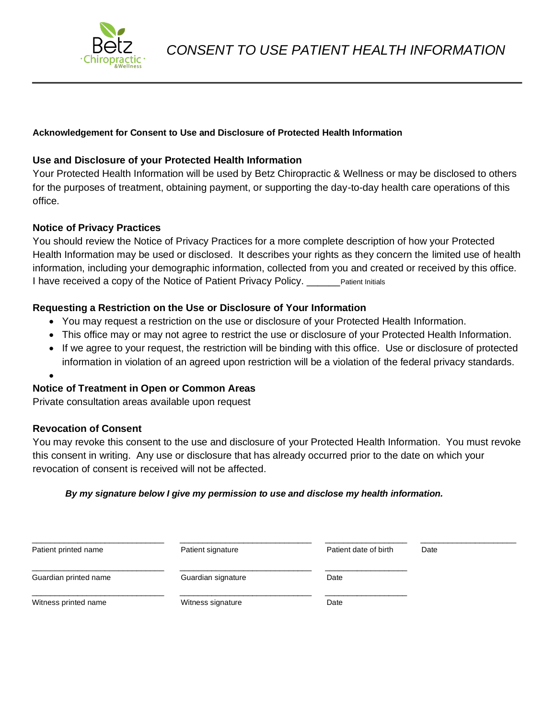

# **Acknowledgement for Consent to Use and Disclosure of Protected Health Information**

# **Use and Disclosure of your Protected Health Information**

Your Protected Health Information will be used by Betz Chiropractic & Wellness or may be disclosed to others for the purposes of treatment, obtaining payment, or supporting the day-to-day health care operations of this office.

## **Notice of Privacy Practices**

You should review the Notice of Privacy Practices for a more complete description of how your Protected Health Information may be used or disclosed. It describes your rights as they concern the limited use of health information, including your demographic information, collected from you and created or received by this office. I have received a copy of the Notice of Patient Privacy Policy. \_\_\_\_\_\_ Patient Initials

# **Requesting a Restriction on the Use or Disclosure of Your Information**

- You may request a restriction on the use or disclosure of your Protected Health Information.
- This office may or may not agree to restrict the use or disclosure of your Protected Health Information.
- If we agree to your request, the restriction will be binding with this office. Use or disclosure of protected information in violation of an agreed upon restriction will be a violation of the federal privacy standards.
- •

# **Notice of Treatment in Open or Common Areas**

Private consultation areas available upon request

### **Revocation of Consent**

You may revoke this consent to the use and disclosure of your Protected Health Information. You must revoke this consent in writing. Any use or disclosure that has already occurred prior to the date on which your revocation of consent is received will not be affected.

### *By my signature below I give my permission to use and disclose my health information.*

| Patient printed name  | Patient signature  | Patient date of birth | Date |
|-----------------------|--------------------|-----------------------|------|
| Guardian printed name | Guardian signature | Date                  |      |
| Witness printed name  | Witness signature  | Date                  |      |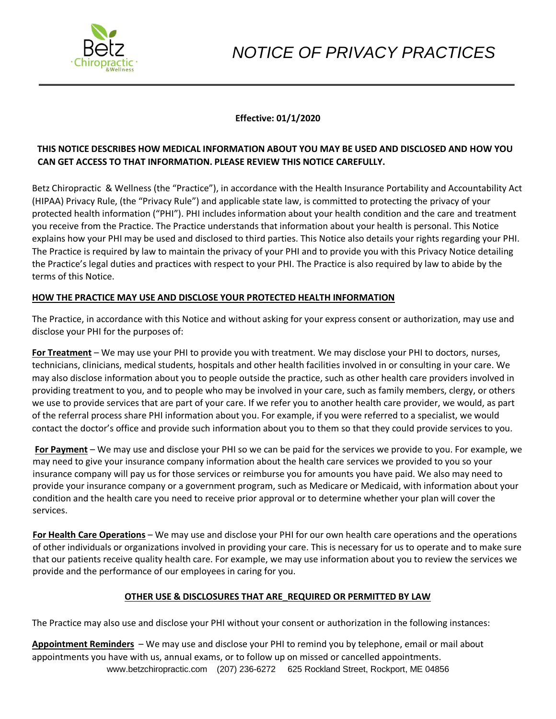

# **Effective: 01/1/2020**

# **THIS NOTICE DESCRIBES HOW MEDICAL INFORMATION ABOUT YOU MAY BE USED AND DISCLOSED AND HOW YOU CAN GET ACCESS TO THAT INFORMATION. PLEASE REVIEW THIS NOTICE CAREFULLY.**

Betz Chiropractic & Wellness (the "Practice"), in accordance with the Health Insurance Portability and Accountability Act (HIPAA) Privacy Rule, (the "Privacy Rule") and applicable state law, is committed to protecting the privacy of your protected health information ("PHI"). PHI includes information about your health condition and the care and treatment you receive from the Practice. The Practice understands that information about your health is personal. This Notice explains how your PHI may be used and disclosed to third parties. This Notice also details your rights regarding your PHI. The Practice is required by law to maintain the privacy of your PHI and to provide you with this Privacy Notice detailing the Practice's legal duties and practices with respect to your PHI. The Practice is also required by law to abide by the terms of this Notice.

## **HOW THE PRACTICE MAY USE AND DISCLOSE YOUR PROTECTED HEALTH INFORMATION**

The Practice, in accordance with this Notice and without asking for your express consent or authorization, may use and disclose your PHI for the purposes of:

**For Treatment** – We may use your PHI to provide you with treatment. We may disclose your PHI to doctors, nurses, technicians, clinicians, medical students, hospitals and other health facilities involved in or consulting in your care. We may also disclose information about you to people outside the practice, such as other health care providers involved in providing treatment to you, and to people who may be involved in your care, such as family members, clergy, or others we use to provide services that are part of your care. If we refer you to another health care provider, we would, as part of the referral process share PHI information about you. For example, if you were referred to a specialist, we would contact the doctor's office and provide such information about you to them so that they could provide services to you.

**For Payment** – We may use and disclose your PHI so we can be paid for the services we provide to you. For example, we may need to give your insurance company information about the health care services we provided to you so your insurance company will pay us for those services or reimburse you for amounts you have paid. We also may need to provide your insurance company or a government program, such as Medicare or Medicaid, with information about your condition and the health care you need to receive prior approval or to determine whether your plan will cover the services.

**For Health Care Operations** – We may use and disclose your PHI for our own health care operations and the operations of other individuals or organizations involved in providing your care. This is necessary for us to operate and to make sure that our patients receive quality health care. For example, we may use information about you to review the services we provide and the performance of our employees in caring for you.

# **OTHER USE & DISCLOSURES THAT ARE\_REQUIRED OR PERMITTED BY LAW**

The Practice may also use and disclose your PHI without your consent or authorization in the following instances:

www.betzchiropractic.com (207) 236-6272 625 Rockland Street, Rockport, ME 04856 **Appointment Reminders** – We may use and disclose your PHI to remind you by telephone, email or mail about appointments you have with us, annual exams, or to follow up on missed or cancelled appointments.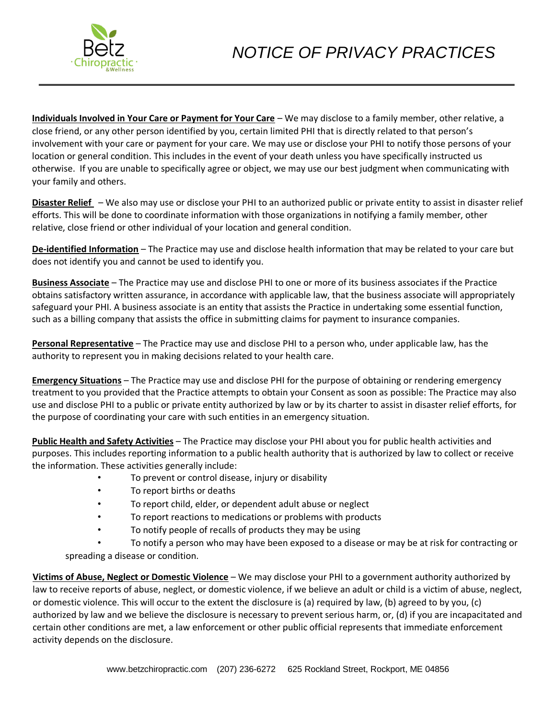

**Individuals Involved in Your Care or Payment for Your Care** – We may disclose to a family member, other relative, a close friend, or any other person identified by you, certain limited PHI that is directly related to that person's involvement with your care or payment for your care. We may use or disclose your PHI to notify those persons of your location or general condition. This includes in the event of your death unless you have specifically instructed us otherwise. If you are unable to specifically agree or object, we may use our best judgment when communicating with your family and others.

**Disaster Relief** – We also may use or disclose your PHI to an authorized public or private entity to assist in disaster relief efforts. This will be done to coordinate information with those organizations in notifying a family member, other relative, close friend or other individual of your location and general condition.

**De-identified Information** – The Practice may use and disclose health information that may be related to your care but does not identify you and cannot be used to identify you.

**Business Associate** – The Practice may use and disclose PHI to one or more of its business associates if the Practice obtains satisfactory written assurance, in accordance with applicable law, that the business associate will appropriately safeguard your PHI. A business associate is an entity that assists the Practice in undertaking some essential function, such as a billing company that assists the office in submitting claims for payment to insurance companies.

**Personal Representative** – The Practice may use and disclose PHI to a person who, under applicable law, has the authority to represent you in making decisions related to your health care.

**Emergency Situations** – The Practice may use and disclose PHI for the purpose of obtaining or rendering emergency treatment to you provided that the Practice attempts to obtain your Consent as soon as possible: The Practice may also use and disclose PHI to a public or private entity authorized by law or by its charter to assist in disaster relief efforts, for the purpose of coordinating your care with such entities in an emergency situation.

**Public Health and Safety Activities** – The Practice may disclose your PHI about you for public health activities and purposes. This includes reporting information to a public health authority that is authorized by law to collect or receive the information. These activities generally include:

- To prevent or control disease, injury or disability
- To report births or deaths
- To report child, elder, or dependent adult abuse or neglect
- To report reactions to medications or problems with products
- To notify people of recalls of products they may be using

• To notify a person who may have been exposed to a disease or may be at risk for contracting or spreading a disease or condition.

**Victims of Abuse, Neglect or Domestic Violence** – We may disclose your PHI to a government authority authorized by law to receive reports of abuse, neglect, or domestic violence, if we believe an adult or child is a victim of abuse, neglect, or domestic violence. This will occur to the extent the disclosure is (a) required by law, (b) agreed to by you, (c) authorized by law and we believe the disclosure is necessary to prevent serious harm, or, (d) if you are incapacitated and certain other conditions are met, a law enforcement or other public official represents that immediate enforcement activity depends on the disclosure.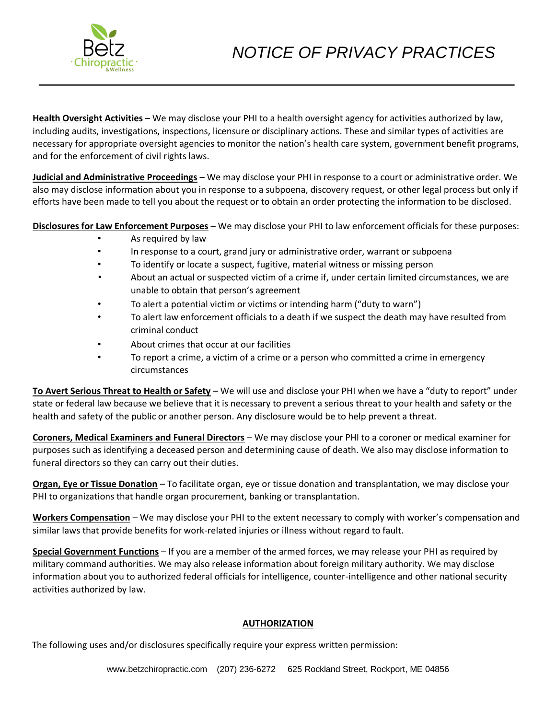

**Health Oversight Activities** – We may disclose your PHI to a health oversight agency for activities authorized by law, including audits, investigations, inspections, licensure or disciplinary actions. These and similar types of activities are necessary for appropriate oversight agencies to monitor the nation's health care system, government benefit programs, and for the enforcement of civil rights laws.

**Judicial and Administrative Proceedings** – We may disclose your PHI in response to a court or administrative order. We also may disclose information about you in response to a subpoena, discovery request, or other legal process but only if efforts have been made to tell you about the request or to obtain an order protecting the information to be disclosed.

**Disclosures for Law Enforcement Purposes** – We may disclose your PHI to law enforcement officials for these purposes:

- As required by law
- In response to a court, grand jury or administrative order, warrant or subpoena
- To identify or locate a suspect, fugitive, material witness or missing person
- About an actual or suspected victim of a crime if, under certain limited circumstances, we are unable to obtain that person's agreement
- To alert a potential victim or victims or intending harm ("duty to warn")
- To alert law enforcement officials to a death if we suspect the death may have resulted from criminal conduct
- About crimes that occur at our facilities
- To report a crime, a victim of a crime or a person who committed a crime in emergency circumstances

**To Avert Serious Threat to Health or Safety** – We will use and disclose your PHI when we have a "duty to report" under state or federal law because we believe that it is necessary to prevent a serious threat to your health and safety or the health and safety of the public or another person. Any disclosure would be to help prevent a threat.

**Coroners, Medical Examiners and Funeral Directors** – We may disclose your PHI to a coroner or medical examiner for purposes such as identifying a deceased person and determining cause of death. We also may disclose information to funeral directors so they can carry out their duties.

**Organ, Eye or Tissue Donation** – To facilitate organ, eye or tissue donation and transplantation, we may disclose your PHI to organizations that handle organ procurement, banking or transplantation.

**Workers Compensation** – We may disclose your PHI to the extent necessary to comply with worker's compensation and similar laws that provide benefits for work-related injuries or illness without regard to fault.

**Special Government Functions** – If you are a member of the armed forces, we may release your PHI as required by military command authorities. We may also release information about foreign military authority. We may disclose information about you to authorized federal officials for intelligence, counter-intelligence and other national security activities authorized by law.

# **AUTHORIZATION**

The following uses and/or disclosures specifically require your express written permission: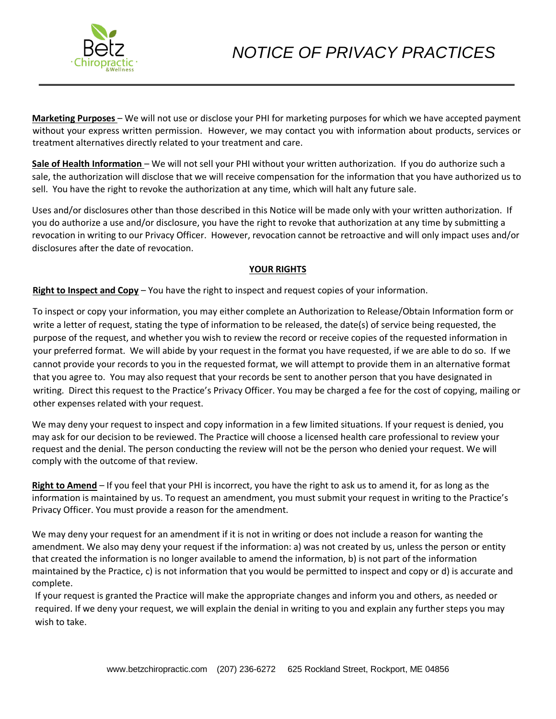

**Marketing Purposes** – We will not use or disclose your PHI for marketing purposes for which we have accepted payment without your express written permission. However, we may contact you with information about products, services or treatment alternatives directly related to your treatment and care.

**Sale of Health Information** – We will not sell your PHI without your written authorization. If you do authorize such a sale, the authorization will disclose that we will receive compensation for the information that you have authorized us to sell. You have the right to revoke the authorization at any time, which will halt any future sale.

Uses and/or disclosures other than those described in this Notice will be made only with your written authorization. If you do authorize a use and/or disclosure, you have the right to revoke that authorization at any time by submitting a revocation in writing to our Privacy Officer. However, revocation cannot be retroactive and will only impact uses and/or disclosures after the date of revocation.

# **YOUR RIGHTS**

**Right to Inspect and Copy** – You have the right to inspect and request copies of your information.

To inspect or copy your information, you may either complete an Authorization to Release/Obtain Information form or write a letter of request, stating the type of information to be released, the date(s) of service being requested, the purpose of the request, and whether you wish to review the record or receive copies of the requested information in your preferred format. We will abide by your request in the format you have requested, if we are able to do so. If we cannot provide your records to you in the requested format, we will attempt to provide them in an alternative format that you agree to. You may also request that your records be sent to another person that you have designated in writing. Direct this request to the Practice's Privacy Officer. You may be charged a fee for the cost of copying, mailing or other expenses related with your request.

We may deny your request to inspect and copy information in a few limited situations. If your request is denied, you may ask for our decision to be reviewed. The Practice will choose a licensed health care professional to review your request and the denial. The person conducting the review will not be the person who denied your request. We will comply with the outcome of that review.

**Right to Amend** – If you feel that your PHI is incorrect, you have the right to ask us to amend it, for as long as the information is maintained by us. To request an amendment, you must submit your request in writing to the Practice's Privacy Officer. You must provide a reason for the amendment.

We may deny your request for an amendment if it is not in writing or does not include a reason for wanting the amendment. We also may deny your request if the information: a) was not created by us, unless the person or entity that created the information is no longer available to amend the information, b) is not part of the information maintained by the Practice, c) is not information that you would be permitted to inspect and copy or d) is accurate and complete.

If your request is granted the Practice will make the appropriate changes and inform you and others, as needed or required. If we deny your request, we will explain the denial in writing to you and explain any further steps you may wish to take.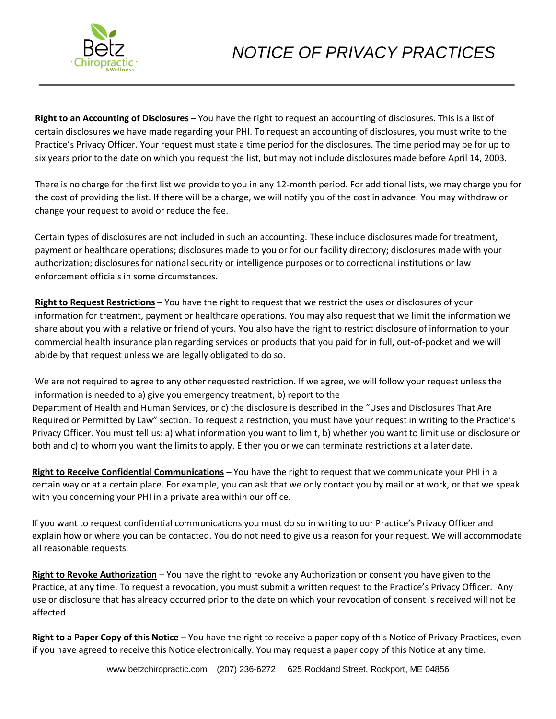

**Right to an Accounting of Disclosures** – You have the right to request an accounting of disclosures. This is a list of certain disclosures we have made regarding your PHI. To request an accounting of disclosures, you must write to the Practice's Privacy Officer. Your request must state a time period for the disclosures. The time period may be for up to six years prior to the date on which you request the list, but may not include disclosures made before April 14, 2003.

There is no charge for the first list we provide to you in any 12-month period. For additional lists, we may charge you for the cost of providing the list. If there will be a charge, we will notify you of the cost in advance. You may withdraw or change your request to avoid or reduce the fee.

Certain types of disclosures are not included in such an accounting. These include disclosures made for treatment, payment or healthcare operations; disclosures made to you or for our facility directory; disclosures made with your authorization; disclosures for national security or intelligence purposes or to correctional institutions or law enforcement officials in some circumstances.

**Right to Request Restrictions** – You have the right to request that we restrict the uses or disclosures of your information for treatment, payment or healthcare operations. You may also request that we limit the information we share about you with a relative or friend of yours. You also have the right to restrict disclosure of information to your commercial health insurance plan regarding services or products that you paid for in full, out-of-pocket and we will abide by that request unless we are legally obligated to do so.

We are not required to agree to any other requested restriction. If we agree, we will follow your request unless the information is needed to a) give you emergency treatment, b) report to the Department of Health and Human Services, or c) the disclosure is described in the "Uses and Disclosures That Are Required or Permitted by Law" section. To request a restriction, you must have your request in writing to the Practice's Privacy Officer. You must tell us: a) what information you want to limit, b) whether you want to limit use or disclosure or both and c) to whom you want the limits to apply. Either you or we can terminate restrictions at a later date.

**Right to Receive Confidential Communications** – You have the right to request that we communicate your PHI in a certain way or at a certain place. For example, you can ask that we only contact you by mail or at work, or that we speak with you concerning your PHI in a private area within our office.

If you want to request confidential communications you must do so in writing to our Practice's Privacy Officer and explain how or where you can be contacted. You do not need to give us a reason for your request. We will accommodate all reasonable requests.

**Right to Revoke Authorization** – You have the right to revoke any Authorization or consent you have given to the Practice, at any time. To request a revocation, you must submit a written request to the Practice's Privacy Officer. Any use or disclosure that has already occurred prior to the date on which your revocation of consent is received will not be affected.

**Right to a Paper Copy of this Notice** – You have the right to receive a paper copy of this Notice of Privacy Practices, even if you have agreed to receive this Notice electronically. You may request a paper copy of this Notice at any time.